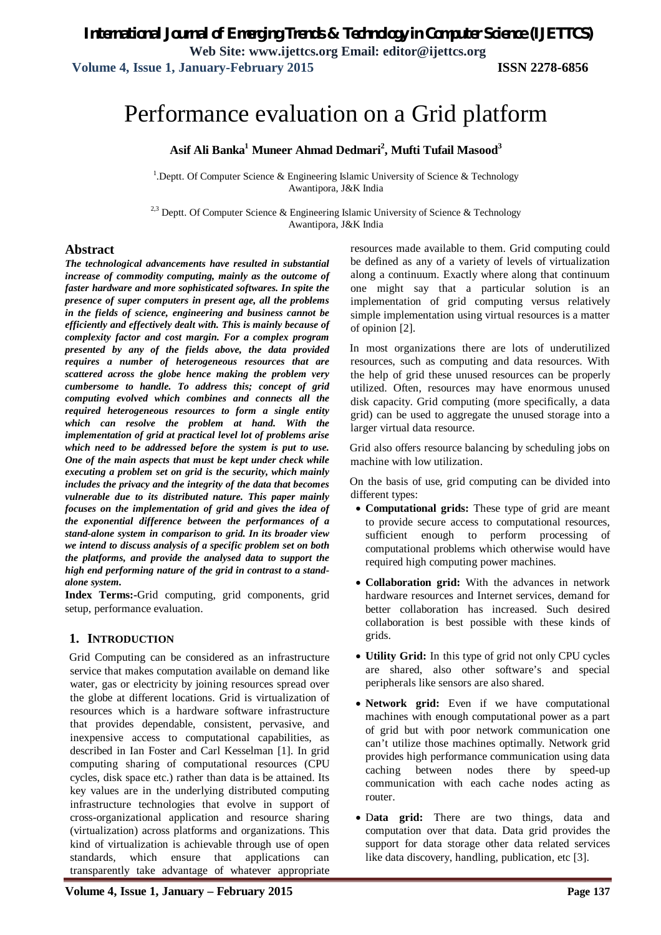# Performance evaluation on a Grid platform

**Asif Ali Banka<sup>1</sup> Muneer Ahmad Dedmari<sup>2</sup> , Mufti Tufail Masood<sup>3</sup>**

<sup>1</sup>. Deptt. Of Computer Science & Engineering Islamic University of Science & Technology Awantipora, J&K India

<sup>2,3</sup> Deptt. Of Computer Science & Engineering Islamic University of Science & Technology Awantipora, J&K India

#### **Abstract**

*The technological advancements have resulted in substantial increase of commodity computing, mainly as the outcome of faster hardware and more sophisticated softwares. In spite the presence of super computers in present age, all the problems in the fields of science, engineering and business cannot be efficiently and effectively dealt with. This is mainly because of complexity factor and cost margin. For a complex program presented by any of the fields above, the data provided requires a number of heterogeneous resources that are scattered across the globe hence making the problem very cumbersome to handle. To address this; concept of grid computing evolved which combines and connects all the required heterogeneous resources to form a single entity which can resolve the problem at hand. With the implementation of grid at practical level lot of problems arise which need to be addressed before the system is put to use. One of the main aspects that must be kept under check while executing a problem set on grid is the security, which mainly includes the privacy and the integrity of the data that becomes vulnerable due to its distributed nature. This paper mainly focuses on the implementation of grid and gives the idea of the exponential difference between the performances of a stand-alone system in comparison to grid. In its broader view we intend to discuss analysis of a specific problem set on both the platforms, and provide the analysed data to support the high end performing nature of the grid in contrast to a standalone system.*

**Index Terms:-**Grid computing, grid components, grid setup, performance evaluation.

#### **1. INTRODUCTION**

Grid Computing can be considered as an infrastructure service that makes computation available on demand like water, gas or electricity by joining resources spread over the globe at different locations. Grid is virtualization of resources which is a hardware software infrastructure that provides dependable, consistent, pervasive, and inexpensive access to computational capabilities, as described in Ian Foster and Carl Kesselman [1]. In grid computing sharing of computational resources (CPU cycles, disk space etc.) rather than data is be attained. Its key values are in the underlying distributed computing infrastructure technologies that evolve in support of cross-organizational application and resource sharing (virtualization) across platforms and organizations. This kind of virtualization is achievable through use of open standards, which ensure that applications can transparently take advantage of whatever appropriate

resources made available to them. Grid computing could be defined as any of a variety of levels of virtualization along a continuum. Exactly where along that continuum one might say that a particular solution is an implementation of grid computing versus relatively simple implementation using virtual resources is a matter of opinion [2].

In most organizations there are lots of underutilized resources, such as computing and data resources. With the help of grid these unused resources can be properly utilized. Often, resources may have enormous unused disk capacity. Grid computing (more specifically, a data grid) can be used to aggregate the unused storage into a larger virtual data resource.

Grid also offers resource balancing by scheduling jobs on machine with low utilization.

On the basis of use, grid computing can be divided into different types:

- **Computational grids:** These type of grid are meant to provide secure access to computational resources, sufficient enough to perform processing of computational problems which otherwise would have required high computing power machines.
- **Collaboration grid:** With the advances in network hardware resources and Internet services, demand for better collaboration has increased. Such desired collaboration is best possible with these kinds of grids.
- **Utility Grid:** In this type of grid not only CPU cycles are shared, also other software's and special peripherals like sensors are also shared.
- **Network grid:** Even if we have computational machines with enough computational power as a part of grid but with poor network communication one can't utilize those machines optimally. Network grid provides high performance communication using data caching between nodes there by speed-up communication with each cache nodes acting as router.
- D**ata grid:** There are two things, data and computation over that data. Data grid provides the support for data storage other data related services like data discovery, handling, publication, etc [3].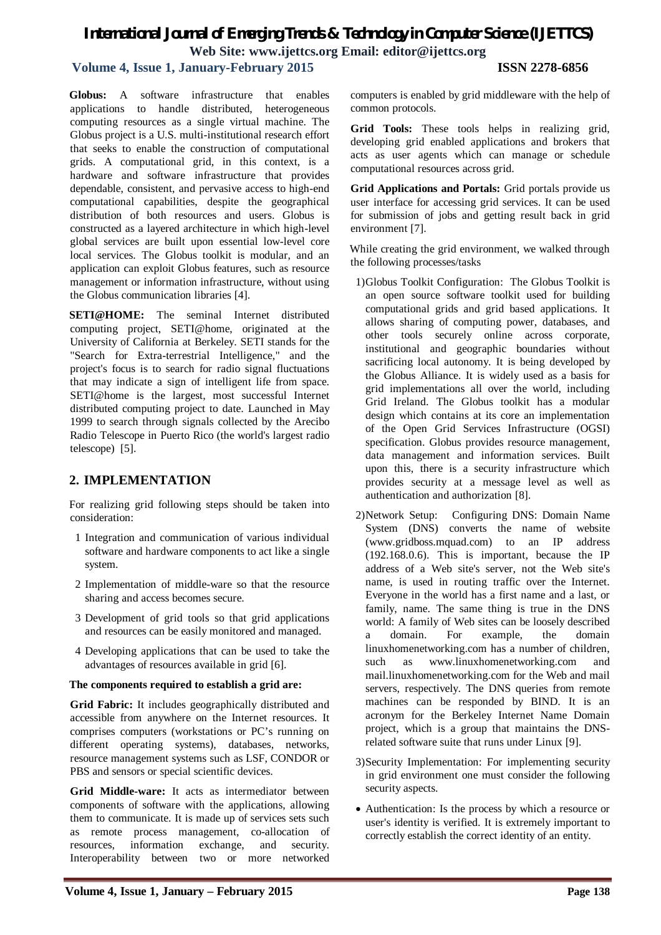# *International Journal of Emerging Trends & Technology in Computer Science (IJETTCS)* **Web Site: www.ijettcs.org Email: editor@ijettcs.org**

# **Volume 4, Issue 1, January-February 2015 ISSN 2278-6856**

**Globus:** A software infrastructure that enables applications to handle distributed, heterogeneous computing resources as a single virtual machine. The Globus project is a U.S. multi-institutional research effort that seeks to enable the construction of computational grids. A computational grid, in this context, is a hardware and software infrastructure that provides dependable, consistent, and pervasive access to high-end computational capabilities, despite the geographical distribution of both resources and users. Globus is constructed as a layered architecture in which high-level global services are built upon essential low-level core local services. The Globus toolkit is modular, and an application can exploit Globus features, such as resource management or information infrastructure, without using the Globus communication libraries [4].

**SETI@HOME:** The seminal Internet distributed computing project, SETI@home, originated at the University of California at Berkeley. SETI stands for the "Search for Extra-terrestrial Intelligence," and the project's focus is to search for radio signal fluctuations that may indicate a sign of intelligent life from space. SETI@home is the largest, most successful Internet distributed computing project to date. Launched in May 1999 to search through signals collected by the Arecibo Radio Telescope in Puerto Rico (the world's largest radio telescope) [5].

# **2. IMPLEMENTATION**

For realizing grid following steps should be taken into consideration:

- 1 Integration and communication of various individual software and hardware components to act like a single system.
- 2 Implementation of middle-ware so that the resource sharing and access becomes secure.
- 3 Development of grid tools so that grid applications and resources can be easily monitored and managed.
- 4 Developing applications that can be used to take the advantages of resources available in grid [6].

#### **The components required to establish a grid are:**

**Grid Fabric:** It includes geographically distributed and accessible from anywhere on the Internet resources. It comprises computers (workstations or PC's running on different operating systems), databases, networks, resource management systems such as LSF, CONDOR or PBS and sensors or special scientific devices.

**Grid Middle-ware:** It acts as intermediator between components of software with the applications, allowing them to communicate. It is made up of services sets such as remote process management, co-allocation of resources, information exchange, and security. Interoperability between two or more networked computers is enabled by grid middleware with the help of common protocols.

**Grid Tools:** These tools helps in realizing grid, developing grid enabled applications and brokers that acts as user agents which can manage or schedule computational resources across grid.

**Grid Applications and Portals:** Grid portals provide us user interface for accessing grid services. It can be used for submission of jobs and getting result back in grid environment [7].

While creating the grid environment, we walked through the following processes/tasks

- 1)Globus Toolkit Configuration: The Globus Toolkit is an open source software toolkit used for building computational grids and grid based applications. It allows sharing of computing power, databases, and other tools securely online across corporate, institutional and geographic boundaries without sacrificing local autonomy. It is being developed by the Globus Alliance. It is widely used as a basis for grid implementations all over the world, including Grid Ireland. The Globus toolkit has a modular design which contains at its core an implementation of the Open Grid Services Infrastructure (OGSI) specification. Globus provides resource management, data management and information services. Built upon this, there is a security infrastructure which provides security at a message level as well as authentication and authorization [8].
- 2)Network Setup: Configuring DNS: Domain Name System (DNS) converts the name of website (www.gridboss.mquad.com) to an IP address (192.168.0.6). This is important, because the IP address of a Web site's server, not the Web site's name, is used in routing traffic over the Internet. Everyone in the world has a first name and a last, or family, name. The same thing is true in the DNS world: A family of Web sites can be loosely described a domain. For example, the domain linuxhomenetworking.com has a number of children, such as www.linuxhomenetworking.com and mail.linuxhomenetworking.com for the Web and mail servers, respectively. The DNS queries from remote machines can be responded by BIND. It is an acronym for the Berkeley Internet Name Domain project, which is a group that maintains the DNSrelated software suite that runs under Linux [9].
- 3)Security Implementation: For implementing security in grid environment one must consider the following security aspects.
- Authentication: Is the process by which a resource or user's identity is verified. It is extremely important to correctly establish the correct identity of an entity.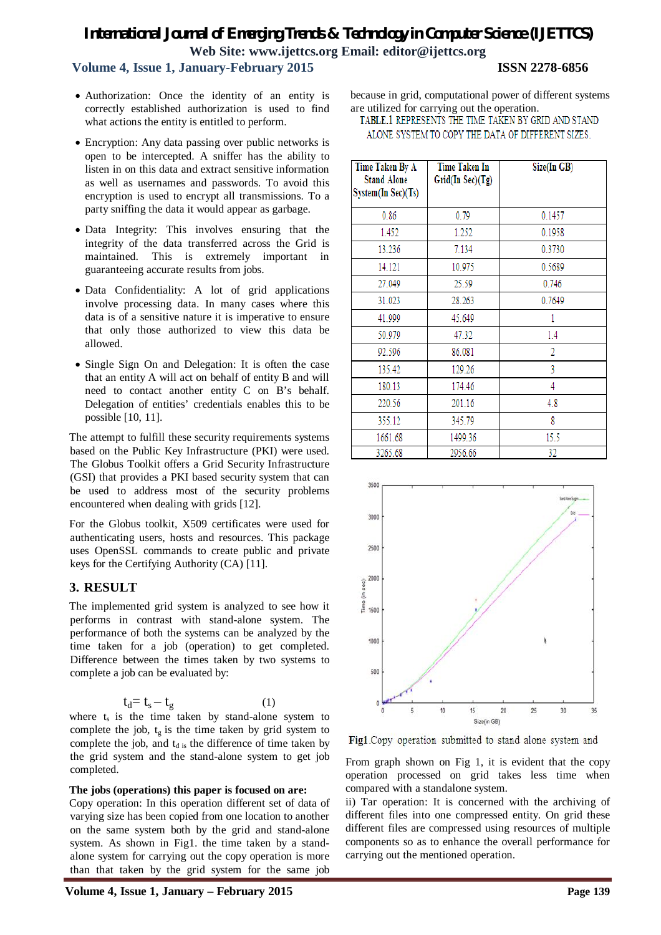# *International Journal of Emerging Trends & Technology in Computer Science (IJETTCS)* **Web Site: www.ijettcs.org Email: editor@ijettcs.org**

### **Volume 4, Issue 1, January-February 2015 ISSN 2278-6856**

- Authorization: Once the identity of an entity is correctly established authorization is used to find what actions the entity is entitled to perform.
- Encryption: Any data passing over public networks is open to be intercepted. A sniffer has the ability to listen in on this data and extract sensitive information as well as usernames and passwords. To avoid this encryption is used to encrypt all transmissions. To a party sniffing the data it would appear as garbage.
- Data Integrity: This involves ensuring that the integrity of the data transferred across the Grid is maintained. This is extremely important in guaranteeing accurate results from jobs.
- Data Confidentiality: A lot of grid applications involve processing data. In many cases where this data is of a sensitive nature it is imperative to ensure that only those authorized to view this data be allowed.
- Single Sign On and Delegation: It is often the case that an entity A will act on behalf of entity B and will need to contact another entity C on B's behalf. Delegation of entities' credentials enables this to be possible [10, 11].

The attempt to fulfill these security requirements systems based on the Public Key Infrastructure (PKI) were used. The Globus Toolkit offers a Grid Security Infrastructure (GSI) that provides a PKI based security system that can be used to address most of the security problems encountered when dealing with grids [12].

For the Globus toolkit, X509 certificates were used for authenticating users, hosts and resources. This package uses OpenSSL commands to create public and private keys for the Certifying Authority (CA) [11].

### **3. RESULT**

The implemented grid system is analyzed to see how it performs in contrast with stand-alone system. The performance of both the systems can be analyzed by the time taken for a job (operation) to get completed. Difference between the times taken by two systems to complete a job can be evaluated by:

$$
t_d = t_s - t_g \tag{1}
$$

where  $t_s$  is the time taken by stand-alone system to complete the job,  $t_g$  is the time taken by grid system to complete the job, and  $t_{d}$  is the difference of time taken by the grid system and the stand-alone system to get job completed.

#### **The jobs (operations) this paper is focused on are:**

Copy operation: In this operation different set of data of varying size has been copied from one location to another on the same system both by the grid and stand-alone system. As shown in Fig1. the time taken by a standalone system for carrying out the copy operation is more than that taken by the grid system for the same job because in grid, computational power of different systems are utilized for carrying out the operation.

TABLE.1 REPRESENTS THE TIME TAKEN BY GRID AND STAND ALONE SYSTEM TO COPY THE DATA OF DIFFERENT SIZES.

| Time Taken By A<br><b>Stand Alone</b><br>System(In Sec)(Ts) | <b>Time Taken In</b><br>Grid(In Sec)(Tg) | Size(In GB) |
|-------------------------------------------------------------|------------------------------------------|-------------|
| 0.86                                                        | 0.79                                     | 0.1457      |
| 1.452                                                       | 1.252                                    | 0.1958      |
| 13.236                                                      | 7.134                                    | 0.3730      |
| 14.121                                                      | 10.975                                   | 0.5689      |
| 27.049                                                      | 25.59                                    | 0.746       |
| 31.023                                                      | 28.263                                   | 0.7649      |
| 41.999                                                      | 45.649                                   |             |
| 50.979                                                      | 47.32                                    | 1.4         |
| 92.596                                                      | 86.081                                   | 2           |
| 135.42                                                      | 129.26                                   | 3           |
| 180.13                                                      | 174.46                                   | 4           |
| 220.56                                                      | 201.16                                   | 4.8         |
| 355.12                                                      | 345.79                                   | 8           |
| 1661.68                                                     | 1499.36                                  | 15.5        |
| 3265.68                                                     | 2956.66                                  | 32          |



Fig1.Copy operation submitted to stand alone system and

From graph shown on Fig 1, it is evident that the copy operation processed on grid takes less time when compared with a standalone system.

ii) Tar operation: It is concerned with the archiving of different files into one compressed entity. On grid these different files are compressed using resources of multiple components so as to enhance the overall performance for carrying out the mentioned operation.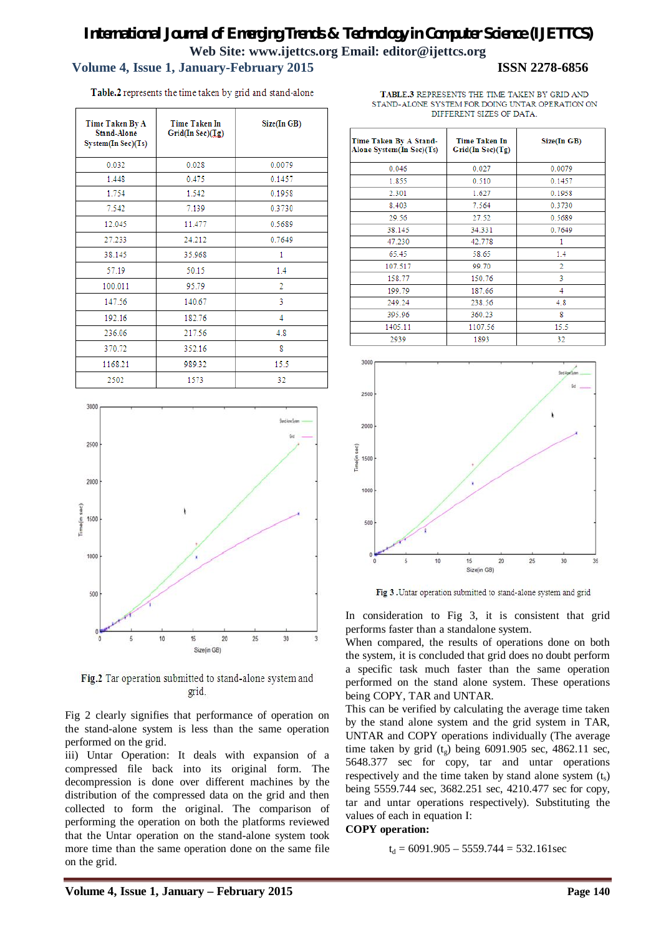# *International Journal of Emerging Trends & Technology in Computer Science (IJETTCS)* **Web Site: www.ijettcs.org Email: editor@ijettcs.org Volume 4, Issue 1, January-February 2015 ISSN 2278-6856**

Table.2 represents the time taken by grid and stand-alone

| Time Taken By A<br><b>Stand-Alone</b><br>System(InSec)(Ts) | Time Taken In<br>Grid(In Sec)(Ig) | Size(In GB) |
|------------------------------------------------------------|-----------------------------------|-------------|
| 0.032                                                      | 0.028                             | 0.0079      |
| 1.448                                                      | 0.475                             | 0.1457      |
| 1.754                                                      | 1.542                             | 0.1958      |
| 7.542                                                      | 7.139                             | 0.3730      |
| 12.045                                                     | 11.477                            | 0.5689      |
| 27.233                                                     | 24.212                            | 0.7649      |
| 38.145                                                     | 35.968                            | 1           |
| 57.19                                                      | 50.15                             | 1.4         |
| 100.011                                                    | 95.79                             | 2           |
| 147.56                                                     | 140.67                            | 3           |
| 192.16                                                     | 182.76                            | 4           |
| 236.06                                                     | 217.56                            | 4.8         |
| 370.72                                                     | 352.16                            | g           |
| 1168.21                                                    | 989.32                            | 15.5        |
| 2502                                                       | 1573                              | 32          |



Fig.2 Tar operation submitted to stand-alone system and grid.

Fig 2 clearly signifies that performance of operation on the stand-alone system is less than the same operation performed on the grid.

iii) Untar Operation: It deals with expansion of a compressed file back into its original form. The decompression is done over different machines by the distribution of the compressed data on the grid and then collected to form the original. The comparison of performing the operation on both the platforms reviewed that the Untar operation on the stand-alone system took more time than the same operation done on the same file on the grid.

| TABLE.3 REPRESENTS THE TIME TAKEN BY GRID AND   |
|-------------------------------------------------|
| STAND-ALONE SYSTEM FOR DOING UNTAR OPERATION ON |
| DIFFERENT SIZES OF DATA                         |

| Time Taken By A Stand-<br>Alone System(In Sec)(Ts) | <b>Time Taken In</b><br>Grid(InSec)(Tg) | Size(In GB)    |
|----------------------------------------------------|-----------------------------------------|----------------|
| 0.046                                              | 0.027                                   | 0.0079         |
| 1.855                                              | 0.510                                   | 0.1457         |
| 2.301                                              | 1.627                                   | 0.1958         |
| 8.403                                              | 7.564                                   | 0.3730         |
| 29.56                                              | 27.52                                   | 0.5689         |
| 38.145                                             | 34.331                                  | 0.7649         |
| 47.230                                             | 42.778                                  |                |
| 65.45                                              | 58.65                                   | 1.4            |
| 107.517                                            | 99.70                                   | $\overline{2}$ |
| 158.77                                             | 150.76                                  | 3              |
| 199.79                                             | 187.66                                  | 4              |
| 249.24                                             | 238.56                                  | 4.8            |
| 395.96                                             | 360.23                                  | 8              |
| 1405.11                                            | 1107.56                                 | 15.5           |
| 2030                                               | 1803                                    | 32             |



Fig 3 . Untar operation submitted to stand-alone system and grid

In consideration to Fig 3, it is consistent that grid performs faster than a standalone system.

When compared, the results of operations done on both the system, it is concluded that grid does no doubt perform a specific task much faster than the same operation performed on the stand alone system. These operations being COPY, TAR and UNTAR.

This can be verified by calculating the average time taken by the stand alone system and the grid system in TAR, UNTAR and COPY operations individually (The average time taken by grid  $(t<sub>g</sub>)$  being 6091.905 sec, 4862.11 sec, 5648.377 sec for copy, tar and untar operations respectively and the time taken by stand alone system  $(t<sub>s</sub>)$ being 5559.744 sec, 3682.251 sec, 4210.477 sec for copy, tar and untar operations respectively). Substituting the values of each in equation I:

#### **COPY operation:**

 $t<sub>d</sub> = 6091.905 - 5559.744 = 532.161$  sec